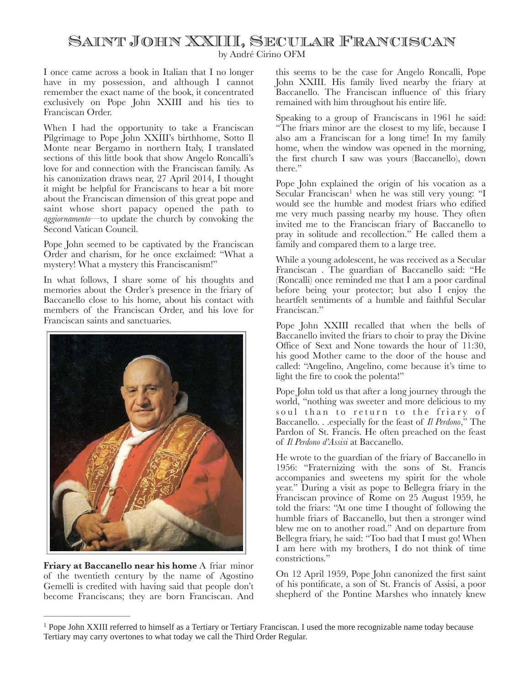## Saint John XXIII, Secular Franciscan by André Cirino OFM

I once came across a book in Italian that I no longer have in my possession, and although I cannot remember the exact name of the book, it concentrated exclusively on Pope John XXIII and his ties to Franciscan Order.

When I had the opportunity to take a Franciscan Pilgrimage to Pope John XXIII's birthhome, Sotto Il Monte near Bergamo in northern Italy, I translated sections of this little book that show Angelo Roncalli's love for and connection with the Franciscan family. As his canonization draws near, 27 April 2014, I thought it might be helpful for Franciscans to hear a bit more about the Franciscan dimension of this great pope and saint whose short papacy opened the path to *aggiornamento*—to update the church by convoking the Second Vatican Council.

Pope John seemed to be captivated by the Franciscan Order and charism, for he once exclaimed: "What a mystery! What a mystery this Franciscanism!"

In what follows, I share some of his thoughts and memories about the Order's presence in the friary of Baccanello close to his home, about his contact with members of the Franciscan Order, and his love for Franciscan saints and sanctuaries.



**Friary at Baccanello near his home** A friar minor of the twentieth century by the name of Agostino Gemelli is credited with having said that people don't become Franciscans; they are born Franciscan. And

this seems to be the case for Angelo Roncalli, Pope John XXIII. His family lived nearby the friary at Baccanello. The Franciscan influence of this friary remained with him throughout his entire life.

Speaking to a group of Franciscans in 1961 he said: "The friars minor are the closest to my life, because I also am a Franciscan for a long time! In my family home, when the window was opened in the morning, the first church I saw was yours (Baccanello), down there."

Pope John explained the origin of his vocation as a Secular Franciscan<sup>1</sup> when he was still very young: "I would see the humble and modest friars who edified me very much passing nearby my house. They often invited me to the Franciscan friary of Baccanello to pray in solitude and recollection." He called them a family and compared them to a large tree.

While a young adolescent, he was received as a Secular Franciscan . The guardian of Baccanello said: "He (Roncalli) once reminded me that I am a poor cardinal before being your protector; but also I enjoy the heartfelt sentiments of a humble and faithful Secular Franciscan."

Pope John XXIII recalled that when the bells of Baccanello invited the friars to choir to pray the Divine Office of Sext and None towards the hour of 11:30, his good Mother came to the door of the house and called: "Angelino, Angelino, come because it's time to light the fire to cook the polenta!"

Pope John told us that after a long journey through the world, "nothing was sweeter and more delicious to my soul than to return to the friary of Baccanello. . .especially for the feast of *Il Perdono*," The Pardon of St. Francis. He often preached on the feast of *Il Perdono d'Assisi* at Baccanello.

He wrote to the guardian of the friary of Baccanello in 1956: "Fraternizing with the sons of St. Francis accompanies and sweetens my spirit for the whole year." During a visit as pope to Bellegra friary in the Franciscan province of Rome on 25 August 1959, he told the friars: "At one time I thought of following the humble friars of Baccanello, but then a stronger wind blew me on to another road." And on departure from Bellegra friary, he said: "Too bad that I must go! When I am here with my brothers, I do not think of time constrictions."

On 12 April 1959, Pope John canonized the first saint of his pontificate, a son of St. Francis of Assisi, a poor shepherd of the Pontine Marshes who innately knew

<sup>&</sup>lt;sup>1</sup> Pope John XXIII referred to himself as a Tertiary or Tertiary Franciscan. I used the more recognizable name today because Tertiary may carry overtones to what today we call the Third Order Regular.